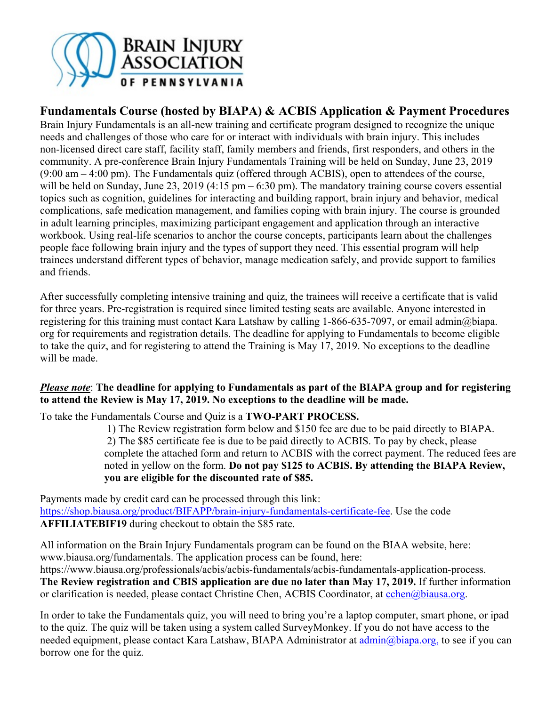

## **Fundamentals Course (hosted by BIAPA) & ACBIS Application & Payment Procedures**

Brain Injury Fundamentals is an all-new training and certificate program designed to recognize the unique needs and challenges of those who care for or interact with individuals with brain injury. This includes non-licensed direct care staff, facility staff, family members and friends, first responders, and others in the community. A pre-conference Brain Injury Fundamentals Training will be held on Sunday, June 23, 2019 (9:00 am – 4:00 pm). The Fundamentals quiz (offered through ACBIS), open to attendees of the course, will be held on Sunday, June 23, 2019 (4:15 pm  $-6:30$  pm). The mandatory training course covers essential topics such as cognition, guidelines for interacting and building rapport, brain injury and behavior, medical complications, safe medication management, and families coping with brain injury. The course is grounded in adult learning principles, maximizing participant engagement and application through an interactive workbook. Using real-life scenarios to anchor the course concepts, participants learn about the challenges people face following brain injury and the types of support they need. This essential program will help trainees understand different types of behavior, manage medication safely, and provide support to families and friends.

After successfully completing intensive training and quiz, the trainees will receive a certificate that is valid for three years. Pre-registration is required since limited testing seats are available. Anyone interested in registering for this training must contact Kara Latshaw by calling 1-866-635-7097, or email admin@biapa. org for requirements and registration details. The deadline for applying to Fundamentals to become eligible to take the quiz, and for registering to attend the Training is May 17, 2019. No exceptions to the deadline will be made.

### *Please note*: **The deadline for applying to Fundamentals as part of the BIAPA group and for registering to attend the Review is May 17, 2019. No exceptions to the deadline will be made.**

To take the Fundamentals Course and Quiz is a **TWO-PART PROCESS.** 

 1) The Review registration form below and \$150 fee are due to be paid directly to BIAPA. 2) The \$85 certificate fee is due to be paid directly to ACBIS. To pay by check, please complete the attached form and return to ACBIS with the correct payment. The reduced fees are noted in yellow on the form. **Do not pay \$125 to ACBIS. By attending the BIAPA Review, you are eligible for the discounted rate of \$85.**

Payments made by credit card can be processed through this link: https://shop.biausa.org/product/BIFAPP/brain-injury-fundamentals-certificate-fee. Use the code **AFFILIATEBIF19** during checkout to obtain the \$85 rate.

All information on the Brain Injury Fundamentals program can be found on the BIAA website, here: www.biausa.org/fundamentals. The application process can be found, here: https://www.biausa.org/professionals/acbis/acbis-fundamentals/acbis-fundamentals-application-process.

**The Review registration and CBIS application are due no later than May 17, 2019.** If further information or clarification is needed, please contact Christine Chen, ACBIS Coordinator, at cchen@biausa.org.

In order to take the Fundamentals quiz, you will need to bring you're a laptop computer, smart phone, or ipad to the quiz. The quiz will be taken using a system called SurveyMonkey. If you do not have access to the needed equipment, please contact Kara Latshaw, BIAPA Administrator at admin@biapa.org, to see if you can borrow one for the quiz.